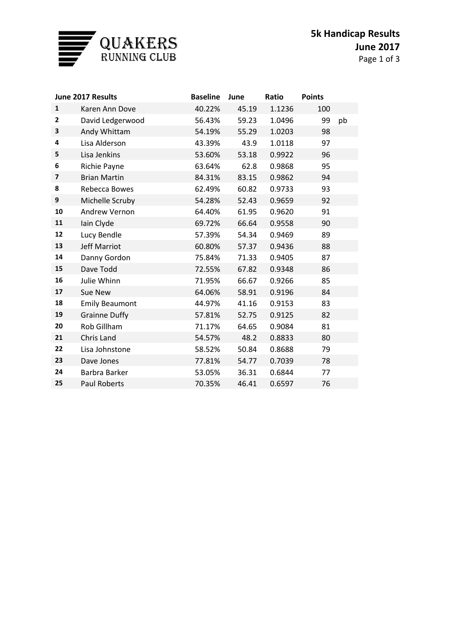

| June 2017 Results |                       | <b>Baseline</b> | June  | Ratio  | <b>Points</b> |    |
|-------------------|-----------------------|-----------------|-------|--------|---------------|----|
| $\mathbf{1}$      | Karen Ann Dove        | 40.22%          | 45.19 | 1.1236 | 100           |    |
| $\mathbf{2}$      | David Ledgerwood      | 56.43%          | 59.23 | 1.0496 | 99            | pb |
| 3                 | Andy Whittam          | 54.19%          | 55.29 | 1.0203 | 98            |    |
| 4                 | Lisa Alderson         | 43.39%          | 43.9  | 1.0118 | 97            |    |
| 5                 | Lisa Jenkins          | 53.60%          | 53.18 | 0.9922 | 96            |    |
| 6                 | Richie Payne          | 63.64%          | 62.8  | 0.9868 | 95            |    |
| $\overline{7}$    | <b>Brian Martin</b>   | 84.31%          | 83.15 | 0.9862 | 94            |    |
| 8                 | Rebecca Bowes         | 62.49%          | 60.82 | 0.9733 | 93            |    |
| 9                 | Michelle Scruby       | 54.28%          | 52.43 | 0.9659 | 92            |    |
| 10                | Andrew Vernon         | 64.40%          | 61.95 | 0.9620 | 91            |    |
| 11                | Iain Clyde            | 69.72%          | 66.64 | 0.9558 | 90            |    |
| 12                | Lucy Bendle           | 57.39%          | 54.34 | 0.9469 | 89            |    |
| 13                | <b>Jeff Marriot</b>   | 60.80%          | 57.37 | 0.9436 | 88            |    |
| 14                | Danny Gordon          | 75.84%          | 71.33 | 0.9405 | 87            |    |
| 15                | Dave Todd             | 72.55%          | 67.82 | 0.9348 | 86            |    |
| 16                | Julie Whinn           | 71.95%          | 66.67 | 0.9266 | 85            |    |
| 17                | Sue New               | 64.06%          | 58.91 | 0.9196 | 84            |    |
| 18                | <b>Emily Beaumont</b> | 44.97%          | 41.16 | 0.9153 | 83            |    |
| 19                | <b>Grainne Duffy</b>  | 57.81%          | 52.75 | 0.9125 | 82            |    |
| 20                | Rob Gillham           | 71.17%          | 64.65 | 0.9084 | 81            |    |
| 21                | Chris Land            | 54.57%          | 48.2  | 0.8833 | 80            |    |
| 22                | Lisa Johnstone        | 58.52%          | 50.84 | 0.8688 | 79            |    |
| 23                | Dave Jones            | 77.81%          | 54.77 | 0.7039 | 78            |    |
| 24                | Barbra Barker         | 53.05%          | 36.31 | 0.6844 | 77            |    |
| 25                | <b>Paul Roberts</b>   | 70.35%          | 46.41 | 0.6597 | 76            |    |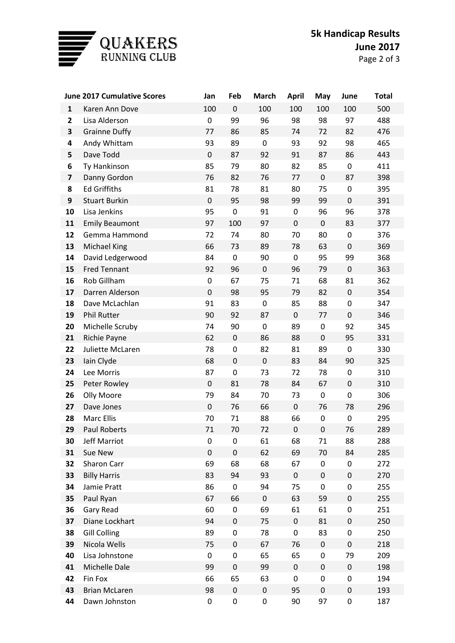

|                         | <b>June 2017 Cumulative Scores</b> |                   | Feb             | <b>March</b> | <b>April</b> | May       | June                   | <b>Total</b> |
|-------------------------|------------------------------------|-------------------|-----------------|--------------|--------------|-----------|------------------------|--------------|
| $\mathbf{1}$            | Karen Ann Dove                     | 100               | $\pmb{0}$       | 100          | 100          | 100       | 100                    | 500          |
| $\mathbf{2}$            | Lisa Alderson                      | 0                 | 99              | 96           | 98           | 98        | 97                     | 488          |
| 3                       | <b>Grainne Duffy</b>               | 77                | 86              | 85           | 74           | 72        | 82                     | 476          |
| 4                       | Andy Whittam                       | 93                | 89              | $\pmb{0}$    | 93           | 92        | 98                     | 465          |
| 5                       | Dave Todd                          | $\mathsf 0$       | 87              | 92           | 91           | 87        | 86                     | 443          |
| 6                       | Ty Hankinson                       | 85                | 79              | 80           | 82           | 85        | $\pmb{0}$              | 411          |
| $\overline{\mathbf{z}}$ | Danny Gordon                       | 76                | 82              | 76           | 77           | $\pmb{0}$ | 87                     | 398          |
| 8                       | <b>Ed Griffiths</b>                | 81                | 78              | 81           | 80           | 75        | $\pmb{0}$              | 395          |
| 9                       | <b>Stuart Burkin</b>               | $\mathsf 0$       | 95              | 98           | 99           | 99        | $\pmb{0}$              | 391          |
| 10                      | Lisa Jenkins                       | 95                | $\pmb{0}$       | 91           | 0            | 96        | 96                     | 378          |
| 11                      | <b>Emily Beaumont</b>              | 97                | 100             | 97           | $\pmb{0}$    | $\pmb{0}$ | 83                     | 377          |
| 12                      | Gemma Hammond                      | 72                | 74              | 80           | 70           | 80        | $\pmb{0}$              | 376          |
| 13                      | <b>Michael King</b>                | 66                | 73              | 89           | 78           | 63        | $\pmb{0}$              | 369          |
| 14                      | David Ledgerwood                   | 84                | $\pmb{0}$       | 90           | $\pmb{0}$    | 95        | 99                     | 368          |
| 15                      | <b>Fred Tennant</b>                | 92                | 96              | $\mathbf 0$  | 96           | 79        | $\pmb{0}$              | 363          |
| 16                      | Rob Gillham                        | 0                 | 67              | 75           | 71           | 68        | 81                     | 362          |
| 17                      | Darren Alderson                    | $\mathsf 0$       | 98              | 95           | 79           | 82        | $\boldsymbol{0}$       | 354          |
| 18                      | Dave McLachlan                     | 91                | 83              | 0            | 85           | 88        | $\pmb{0}$              | 347          |
| 19                      | <b>Phil Rutter</b>                 | 90                | 92              | 87           | $\pmb{0}$    | 77        | $\pmb{0}$              | 346          |
| 20                      | Michelle Scruby                    | 74                | 90              | 0            | 89           | 0         | 92                     | 345          |
| 21                      | Richie Payne                       | 62                | $\pmb{0}$       | 86           | 88           | $\pmb{0}$ | 95                     | 331          |
| 22                      | Juliette McLaren                   | 78                | 0               | 82           | 81           | 89        | $\pmb{0}$              | 330          |
| 23                      | lain Clyde                         | 68                | $\pmb{0}$       | $\mathbf 0$  | 83           | 84        | 90                     | 325          |
| 24<br>25                | Lee Morris                         | 87<br>$\mathsf 0$ | $\pmb{0}$<br>81 | 73<br>78     | 72<br>84     | 78<br>67  | $\pmb{0}$<br>$\pmb{0}$ | 310<br>310   |
| 26                      | Peter Rowley<br>Olly Moore         | 79                | 84              | 70           | 73           | $\pmb{0}$ | $\pmb{0}$              | 306          |
| 27                      | Dave Jones                         | $\mathsf 0$       | 76              | 66           | $\pmb{0}$    | 76        | 78                     | 296          |
| 28                      | Marc Ellis                         | 70                | 71              | 88           | 66           | 0         | 0                      | 295          |
| 29                      | Paul Roberts                       | 71                | 70              | 72           | 0            | $\pmb{0}$ | 76                     | 289          |
| 30                      | Jeff Marriot                       | 0                 | 0               | 61           | 68           | 71        | 88                     | 288          |
| 31                      | Sue New                            | $\pmb{0}$         | $\pmb{0}$       | 62           | 69           | 70        | 84                     | 285          |
| 32                      | Sharon Carr                        | 69                | 68              | 68           | 67           | 0         | $\pmb{0}$              | 272          |
| 33                      | <b>Billy Harris</b>                | 83                | 94              | 93           | $\pmb{0}$    | $\pmb{0}$ | $\pmb{0}$              | 270          |
| 34                      | Jamie Pratt                        | 86                | 0               | 94           | 75           | 0         | 0                      | 255          |
| 35                      | Paul Ryan                          | 67                | 66              | $\pmb{0}$    | 63           | 59        | $\pmb{0}$              | 255          |
| 36                      | Gary Read                          | 60                | 0               | 69           | 61           | 61        | 0                      | 251          |
| 37                      | Diane Lockhart                     | 94                | $\pmb{0}$       | 75           | $\pmb{0}$    | 81        | $\pmb{0}$              | 250          |
| 38                      | <b>Gill Colling</b>                | 89                | 0               | 78           | 0            | 83        | 0                      | 250          |
| 39                      | Nicola Wells                       | 75                | $\pmb{0}$       | 67           | 76           | $\pmb{0}$ | 0                      | 218          |
| 40                      | Lisa Johnstone                     | 0                 | 0               | 65           | 65           | 0         | 79                     | 209          |
| 41                      | Michelle Dale                      | 99                | $\pmb{0}$       | 99           | $\pmb{0}$    | $\pmb{0}$ | $\pmb{0}$              | 198          |
| 42                      | Fin Fox                            | 66                | 65              | 63           | 0            | 0         | 0                      | 194          |
| 43                      | <b>Brian McLaren</b>               | 98                | $\pmb{0}$       | $\pmb{0}$    | 95           | $\pmb{0}$ | $\pmb{0}$              | 193          |
| 44                      | Dawn Johnston                      | 0                 | 0               | 0            | 90           | 97        | 0                      | 187          |